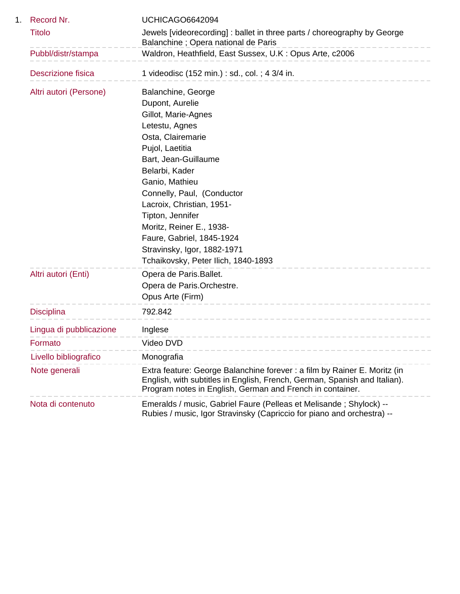| Record Nr.                | UCHICAGO6642094                                                                                                                                                                                                     |
|---------------------------|---------------------------------------------------------------------------------------------------------------------------------------------------------------------------------------------------------------------|
| <b>Titolo</b>             | Jewels [videorecording] : ballet in three parts / choreography by George<br>Balanchine; Opera national de Paris                                                                                                     |
| Pubbl/distr/stampa        | Waldron, Heathfield, East Sussex, U.K: Opus Arte, c2006                                                                                                                                                             |
| <b>Descrizione fisica</b> | 1 videodisc (152 min.) : sd., col.; 4 3/4 in.                                                                                                                                                                       |
| Altri autori (Persone)    | Balanchine, George                                                                                                                                                                                                  |
|                           | Dupont, Aurelie                                                                                                                                                                                                     |
|                           | Gillot, Marie-Agnes                                                                                                                                                                                                 |
|                           | Letestu, Agnes                                                                                                                                                                                                      |
|                           | Osta, Clairemarie                                                                                                                                                                                                   |
|                           | Pujol, Laetitia                                                                                                                                                                                                     |
|                           | Bart, Jean-Guillaume                                                                                                                                                                                                |
|                           | Belarbi, Kader<br>Ganio, Mathieu                                                                                                                                                                                    |
|                           | Connelly, Paul, (Conductor                                                                                                                                                                                          |
|                           | Lacroix, Christian, 1951-                                                                                                                                                                                           |
|                           | Tipton, Jennifer                                                                                                                                                                                                    |
|                           | Moritz, Reiner E., 1938-                                                                                                                                                                                            |
|                           | Faure, Gabriel, 1845-1924                                                                                                                                                                                           |
|                           | Stravinsky, Igor, 1882-1971                                                                                                                                                                                         |
|                           | Tchaikovsky, Peter Ilich, 1840-1893                                                                                                                                                                                 |
| Altri autori (Enti)       | Opera de Paris. Ballet.                                                                                                                                                                                             |
|                           | Opera de Paris.Orchestre.                                                                                                                                                                                           |
|                           | Opus Arte (Firm)                                                                                                                                                                                                    |
| <b>Disciplina</b>         | ------------------<br>792.842                                                                                                                                                                                       |
| Lingua di pubblicazione   | Inglese                                                                                                                                                                                                             |
| Formato                   | Video DVD                                                                                                                                                                                                           |
| Livello bibliografico     | Monografia                                                                                                                                                                                                          |
| Note generali             | Extra feature: George Balanchine forever : a film by Rainer E. Moritz (in<br>English, with subtitles in English, French, German, Spanish and Italian).<br>Program notes in English, German and French in container. |
| Nota di contenuto         | Emeralds / music, Gabriel Faure (Pelleas et Melisande; Shylock) --<br>Rubies / music, Igor Stravinsky (Capriccio for piano and orchestra) --                                                                        |